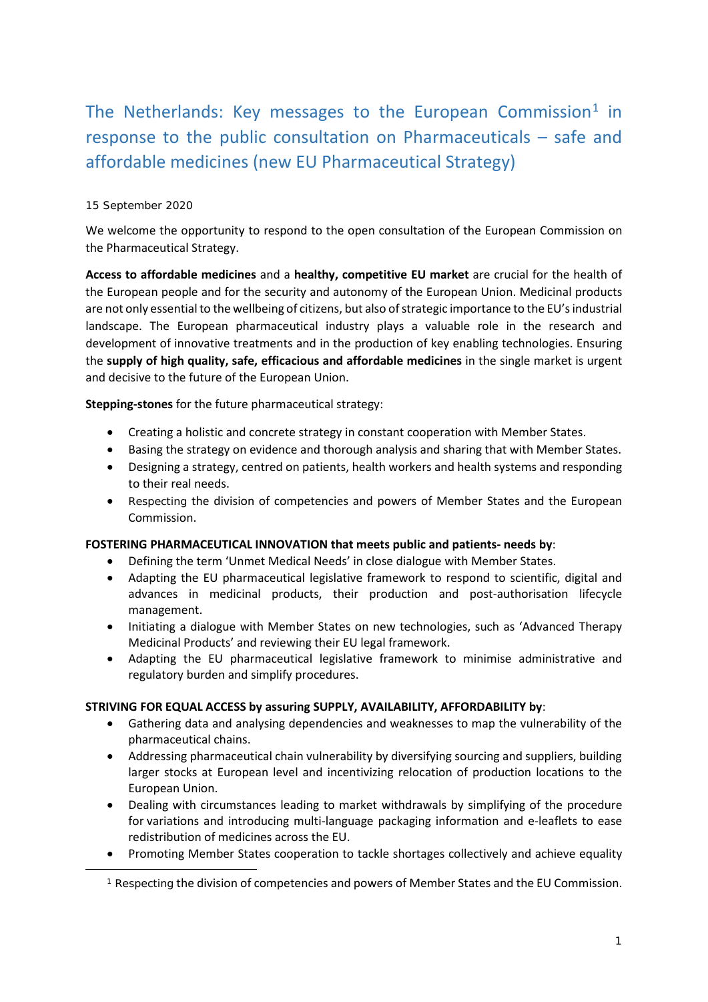# The Netherlands: Key messages to the European Commission<sup>[1](#page-0-0)</sup> in response to the public consultation on Pharmaceuticals – safe and affordable medicines (new EU Pharmaceutical Strategy)

## 15 September 2020

<span id="page-0-0"></span>-

We welcome the opportunity to respond to the open consultation of the European Commission on the Pharmaceutical Strategy.

**Access to affordable medicines** and a **healthy, competitive EU market** are crucial for the health of the European people and for the security and autonomy of the European Union. Medicinal products are not only essential to the wellbeing of citizens, but also of strategic importance to the EU's industrial landscape. The European pharmaceutical industry plays a valuable role in the research and development of innovative treatments and in the production of key enabling technologies. Ensuring the **supply of high quality, safe, efficacious and affordable medicines** in the single market is urgent and decisive to the future of the European Union.

**Stepping-stones** for the future pharmaceutical strategy:

- Creating a holistic and concrete strategy in constant cooperation with Member States.
- Basing the strategy on evidence and thorough analysis and sharing that with Member States.
- Designing a strategy, centred on patients, health workers and health systems and responding to their real needs.
- Respecting the division of competencies and powers of Member States and the European Commission.

## **FOSTERING PHARMACEUTICAL INNOVATION that meets public and patients- needs by**:

- Defining the term 'Unmet Medical Needs' in close dialogue with Member States.
- Adapting the EU pharmaceutical legislative framework to respond to scientific, digital and advances in medicinal products, their production and post-authorisation lifecycle management.
- Initiating a dialogue with Member States on new technologies, such as 'Advanced Therapy Medicinal Products' and reviewing their EU legal framework.
- Adapting the EU pharmaceutical legislative framework to minimise administrative and regulatory burden and simplify procedures.

## **STRIVING FOR EQUAL ACCESS by assuring SUPPLY, AVAILABILITY, AFFORDABILITY by**:

- Gathering data and analysing dependencies and weaknesses to map the vulnerability of the pharmaceutical chains.
- Addressing pharmaceutical chain vulnerability by diversifying sourcing and suppliers, building larger stocks at European level and incentivizing relocation of production locations to the European Union.
- Dealing with circumstances leading to market withdrawals by simplifying of the procedure for variations and introducing multi-language packaging information and e-leaflets to ease redistribution of medicines across the EU.
- Promoting Member States cooperation to tackle shortages collectively and achieve equality

<sup>&</sup>lt;sup>1</sup> Respecting the division of competencies and powers of Member States and the EU Commission.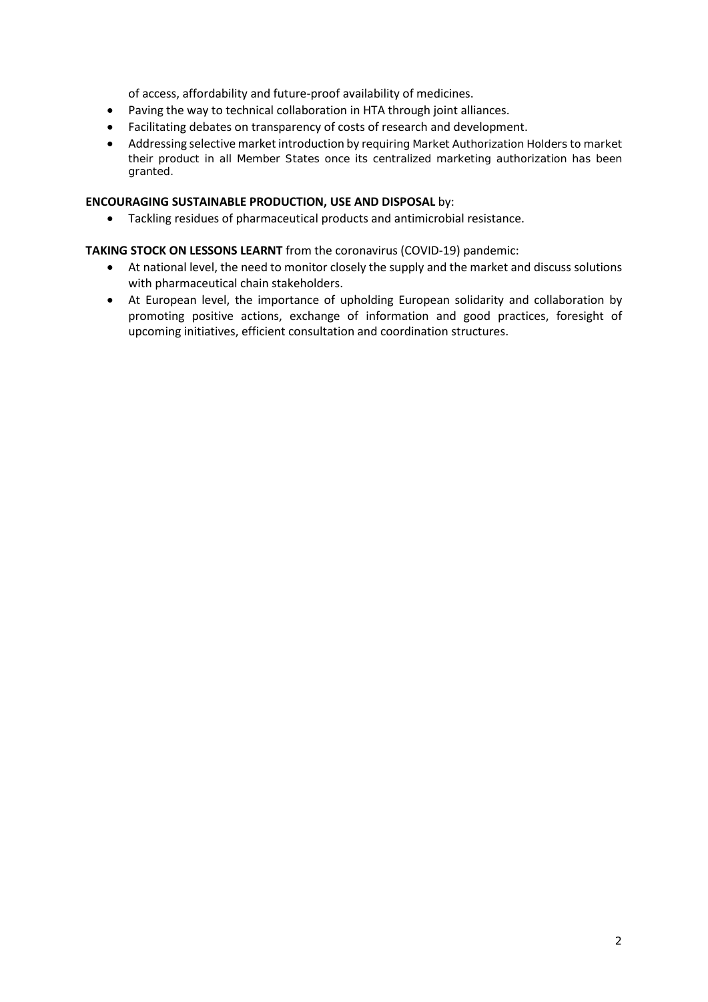of access, affordability and future-proof availability of medicines.

- Paving the way to technical collaboration in HTA through joint alliances.
- Facilitating debates on transparency of costs of research and development.
- Addressing selective market introduction by requiring Market Authorization Holders to market their product in all Member States once its centralized marketing authorization has been granted.

## **ENCOURAGING SUSTAINABLE PRODUCTION, USE AND DISPOSAL** by:

• Tackling residues of pharmaceutical products and antimicrobial resistance.

## **TAKING STOCK ON LESSONS LEARNT** from the coronavirus (COVID-19) pandemic:

- At national level, the need to monitor closely the supply and the market and discuss solutions with pharmaceutical chain stakeholders.
- At European level, the importance of upholding European solidarity and collaboration by promoting positive actions, exchange of information and good practices, foresight of upcoming initiatives, efficient consultation and coordination structures.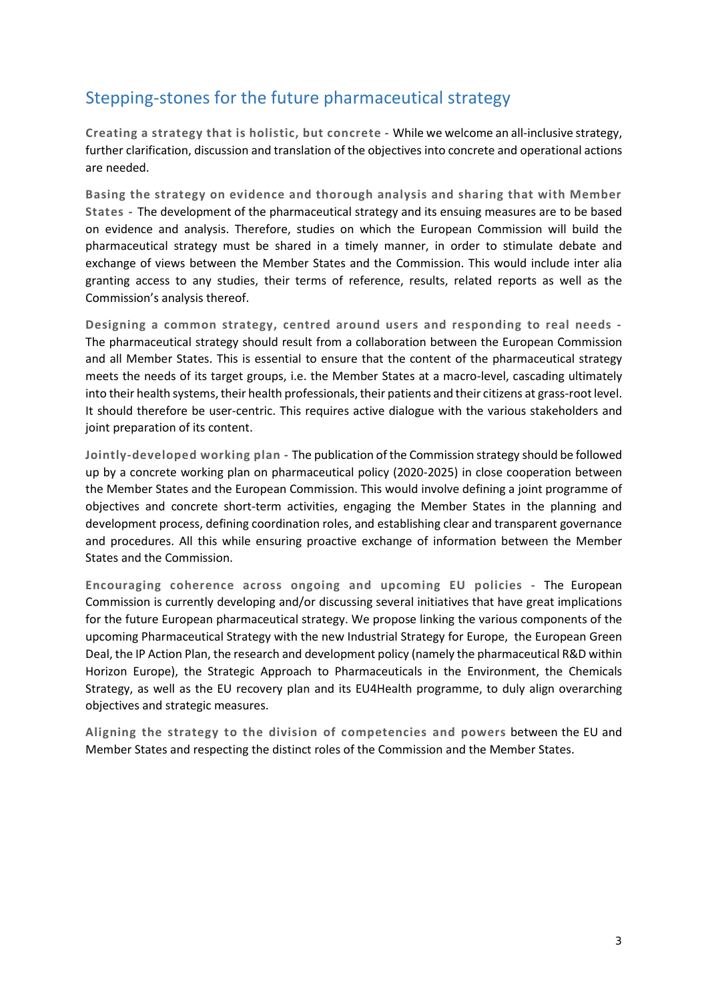## Stepping-stones for the future pharmaceutical strategy

**Creating a strategy that is holistic, but concrete -** While we welcome an all-inclusive strategy, further clarification, discussion and translation of the objectives into concrete and operational actions are needed.

**Basing the strategy on evidence and thorough analysis and sharing that with Member States -** The development of the pharmaceutical strategy and its ensuing measures are to be based on evidence and analysis. Therefore, studies on which the European Commission will build the pharmaceutical strategy must be shared in a timely manner, in order to stimulate debate and exchange of views between the Member States and the Commission. This would include inter alia granting access to any studies, their terms of reference, results, related reports as well as the Commission's analysis thereof.

**Designing a common strategy, centred around users and responding to real needs -** The pharmaceutical strategy should result from a collaboration between the European Commission and all Member States. This is essential to ensure that the content of the pharmaceutical strategy meets the needs of its target groups, i.e. the Member States at a macro-level, cascading ultimately into their health systems, their health professionals, their patients and their citizens at grass-root level. It should therefore be user-centric. This requires active dialogue with the various stakeholders and joint preparation of its content.

**Jointly-developed working plan -** The publication of the Commission strategy should be followed up by a concrete working plan on pharmaceutical policy (2020-2025) in close cooperation between the Member States and the European Commission. This would involve defining a joint programme of objectives and concrete short-term activities, engaging the Member States in the planning and development process, defining coordination roles, and establishing clear and transparent governance and procedures. All this while ensuring proactive exchange of information between the Member States and the Commission.

**Encouraging coherence across ongoing and upcoming EU policies -** The European Commission is currently developing and/or discussing several initiatives that have great implications for the future European pharmaceutical strategy. We propose linking the various components of the upcoming Pharmaceutical Strategy with the new Industrial Strategy for Europe, the European Green Deal, the IP Action Plan, the research and development policy (namely the pharmaceutical R&D within Horizon Europe), the Strategic Approach to Pharmaceuticals in the Environment, the Chemicals Strategy, as well as the EU recovery plan and its EU4Health programme, to duly align overarching objectives and strategic measures.

**Aligning the strategy to the division of competencies and powers** between the EU and Member States and respecting the distinct roles of the Commission and the Member States.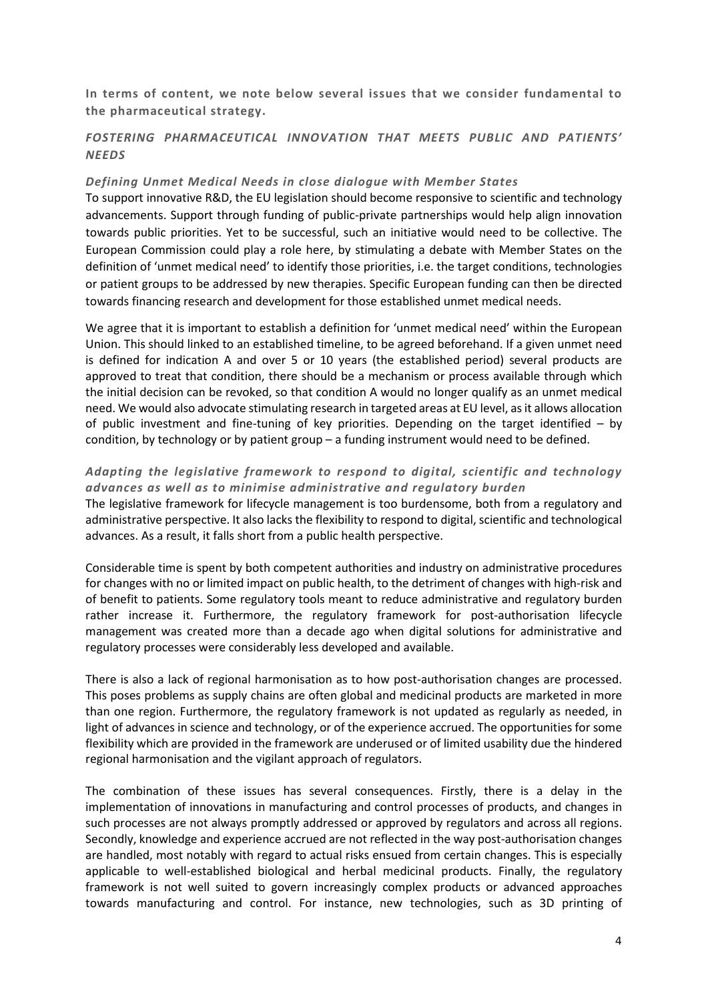**In terms of content, we note below several issues that we consider fundamental to the pharmaceutical strategy.** 

## *FOSTERING PHARMACEUTICAL INNOVATION THAT MEETS PUBLIC AND PATIENTS' NEEDS*

#### *Defining Unmet Medical Needs in close dialogue with Member States*

To support innovative R&D, the EU legislation should become responsive to scientific and technology advancements. Support through funding of public-private partnerships would help align innovation towards public priorities. Yet to be successful, such an initiative would need to be collective. The European Commission could play a role here, by stimulating a debate with Member States on the definition of 'unmet medical need' to identify those priorities, i.e. the target conditions, technologies or patient groups to be addressed by new therapies. Specific European funding can then be directed towards financing research and development for those established unmet medical needs.

We agree that it is important to establish a definition for 'unmet medical need' within the European Union. This should linked to an established timeline, to be agreed beforehand. If a given unmet need is defined for indication A and over 5 or 10 years (the established period) several products are approved to treat that condition, there should be a mechanism or process available through which the initial decision can be revoked, so that condition A would no longer qualify as an unmet medical need. We would also advocate stimulating research in targeted areas at EU level, as it allows allocation of public investment and fine-tuning of key priorities. Depending on the target identified – by condition, by technology or by patient group – a funding instrument would need to be defined.

## *Adapting the legislative framework to respond to digital, scientific and technology advances as well as to minimise administrative and regulatory burden*

The legislative framework for lifecycle management is too burdensome, both from a regulatory and administrative perspective. It also lacks the flexibility to respond to digital, scientific and technological advances. As a result, it falls short from a public health perspective.

Considerable time is spent by both competent authorities and industry on administrative procedures for changes with no or limited impact on public health, to the detriment of changes with high-risk and of benefit to patients. Some regulatory tools meant to reduce administrative and regulatory burden rather increase it. Furthermore, the regulatory framework for post-authorisation lifecycle management was created more than a decade ago when digital solutions for administrative and regulatory processes were considerably less developed and available.

There is also a lack of regional harmonisation as to how post-authorisation changes are processed. This poses problems as supply chains are often global and medicinal products are marketed in more than one region. Furthermore, the regulatory framework is not updated as regularly as needed, in light of advances in science and technology, or of the experience accrued. The opportunities for some flexibility which are provided in the framework are underused or of limited usability due the hindered regional harmonisation and the vigilant approach of regulators.

The combination of these issues has several consequences. Firstly, there is a delay in the implementation of innovations in manufacturing and control processes of products, and changes in such processes are not always promptly addressed or approved by regulators and across all regions. Secondly, knowledge and experience accrued are not reflected in the way post-authorisation changes are handled, most notably with regard to actual risks ensued from certain changes. This is especially applicable to well-established biological and herbal medicinal products. Finally, the regulatory framework is not well suited to govern increasingly complex products or advanced approaches towards manufacturing and control. For instance, new technologies, such as 3D printing of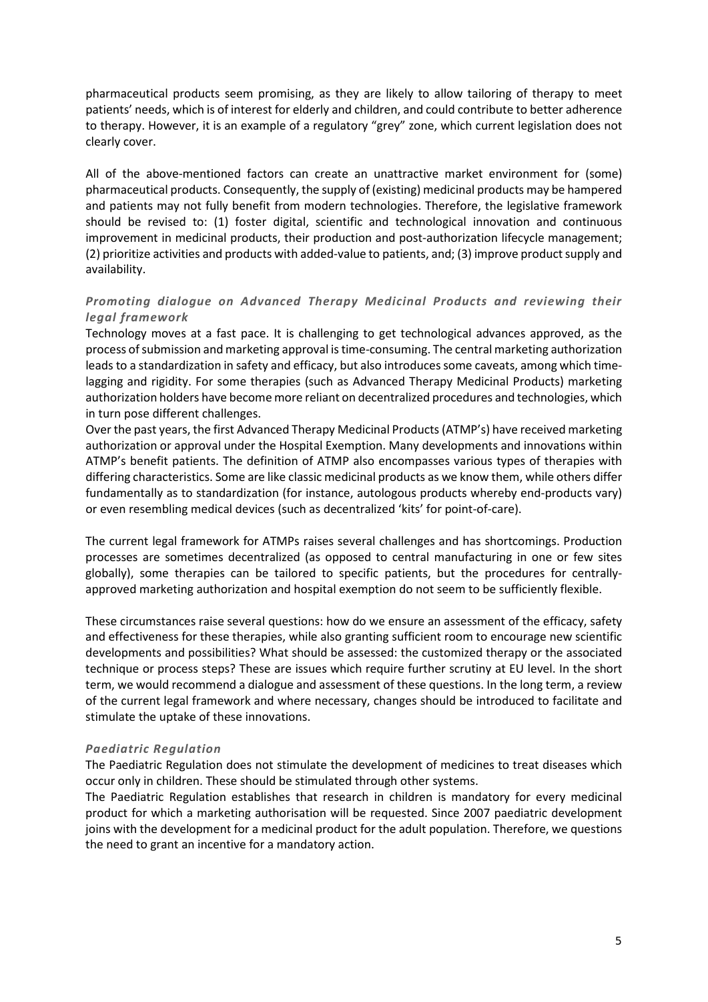pharmaceutical products seem promising, as they are likely to allow tailoring of therapy to meet patients' needs, which is of interest for elderly and children, and could contribute to better adherence to therapy. However, it is an example of a regulatory "grey" zone, which current legislation does not clearly cover.

All of the above-mentioned factors can create an unattractive market environment for (some) pharmaceutical products. Consequently, the supply of (existing) medicinal products may be hampered and patients may not fully benefit from modern technologies. Therefore, the legislative framework should be revised to: (1) foster digital, scientific and technological innovation and continuous improvement in medicinal products, their production and post-authorization lifecycle management; (2) prioritize activities and products with added-value to patients, and; (3) improve product supply and availability.

## *Promoting dialogue on Advanced Therapy Medicinal Products and reviewing their legal framework*

Technology moves at a fast pace. It is challenging to get technological advances approved, as the process of submission and marketing approval is time-consuming. The central marketing authorization leads to a standardization in safety and efficacy, but also introduces some caveats, among which timelagging and rigidity. For some therapies (such as Advanced Therapy Medicinal Products) marketing authorization holders have become more reliant on decentralized procedures and technologies, which in turn pose different challenges.

Over the past years, the first Advanced Therapy Medicinal Products (ATMP's) have received marketing authorization or approval under the Hospital Exemption. Many developments and innovations within ATMP's benefit patients. The definition of ATMP also encompasses various types of therapies with differing characteristics. Some are like classic medicinal products as we know them, while others differ fundamentally as to standardization (for instance, autologous products whereby end-products vary) or even resembling medical devices (such as decentralized 'kits' for point-of-care).

The current legal framework for ATMPs raises several challenges and has shortcomings. Production processes are sometimes decentralized (as opposed to central manufacturing in one or few sites globally), some therapies can be tailored to specific patients, but the procedures for centrallyapproved marketing authorization and hospital exemption do not seem to be sufficiently flexible.

These circumstances raise several questions: how do we ensure an assessment of the efficacy, safety and effectiveness for these therapies, while also granting sufficient room to encourage new scientific developments and possibilities? What should be assessed: the customized therapy or the associated technique or process steps? These are issues which require further scrutiny at EU level. In the short term, we would recommend a dialogue and assessment of these questions. In the long term, a review of the current legal framework and where necessary, changes should be introduced to facilitate and stimulate the uptake of these innovations.

## *Paediatric Regulation*

The Paediatric Regulation does not stimulate the development of medicines to treat diseases which occur only in children. These should be stimulated through other systems.

The Paediatric Regulation establishes that research in children is mandatory for every medicinal product for which a marketing authorisation will be requested. Since 2007 paediatric development joins with the development for a medicinal product for the adult population. Therefore, we questions the need to grant an incentive for a mandatory action.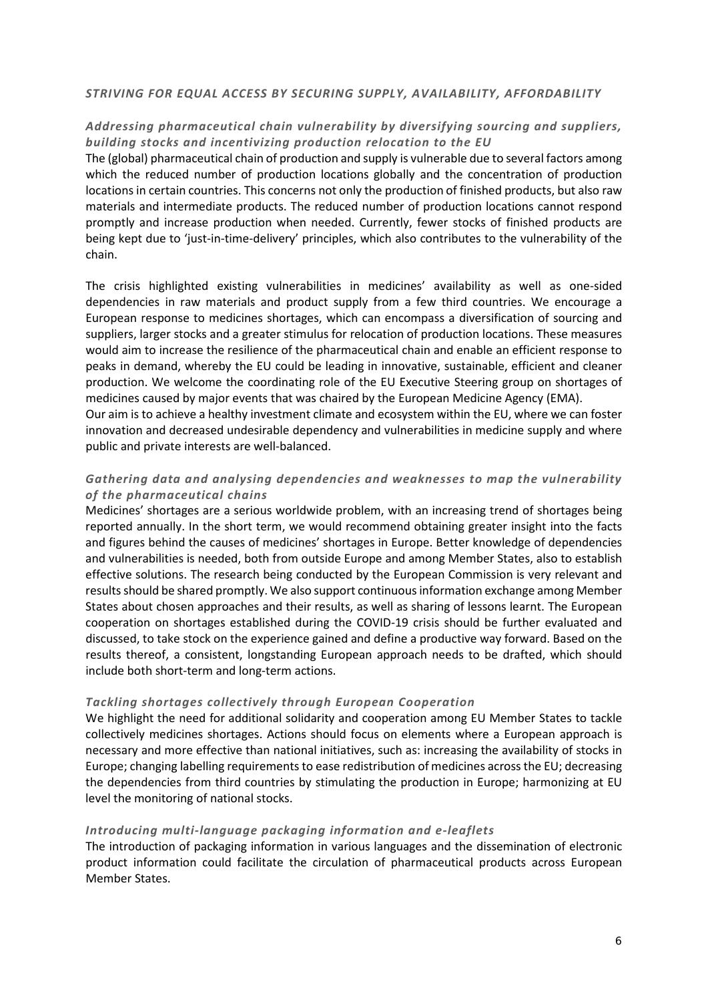#### *STRIVING FOR EQUAL ACCESS BY SECURING SUPPLY, AVAILABILITY, AFFORDABILITY*

## *Addressing pharmaceutical chain vulnerability by diversifying sourcing and suppliers, building stocks and incentivizing production relocation to the EU*

The (global) pharmaceutical chain of production and supply is vulnerable due to several factors among which the reduced number of production locations globally and the concentration of production locations in certain countries. This concerns not only the production of finished products, but also raw materials and intermediate products. The reduced number of production locations cannot respond promptly and increase production when needed. Currently, fewer stocks of finished products are being kept due to 'just-in-time-delivery' principles, which also contributes to the vulnerability of the chain.

The crisis highlighted existing vulnerabilities in medicines' availability as well as one-sided dependencies in raw materials and product supply from a few third countries. We encourage a European response to medicines shortages, which can encompass a diversification of sourcing and suppliers, larger stocks and a greater stimulus for relocation of production locations. These measures would aim to increase the resilience of the pharmaceutical chain and enable an efficient response to peaks in demand, whereby the EU could be leading in innovative, sustainable, efficient and cleaner production. We welcome the coordinating role of the EU Executive Steering group on shortages of medicines caused by major events that was chaired by the European Medicine Agency (EMA).

Our aim is to achieve a healthy investment climate and ecosystem within the EU, where we can foster innovation and decreased undesirable dependency and vulnerabilities in medicine supply and where public and private interests are well-balanced.

## *Gathering data and analysing dependencies and weaknesses to map the vulnerability of the pharmaceutical chains*

Medicines' shortages are a serious worldwide problem, with an increasing trend of shortages being reported annually. In the short term, we would recommend obtaining greater insight into the facts and figures behind the causes of medicines' shortages in Europe. Better knowledge of dependencies and vulnerabilities is needed, both from outside Europe and among Member States, also to establish effective solutions. The research being conducted by the European Commission is very relevant and results should be shared promptly. We also support continuous information exchange among Member States about chosen approaches and their results, as well as sharing of lessons learnt. The European cooperation on shortages established during the COVID-19 crisis should be further evaluated and discussed, to take stock on the experience gained and define a productive way forward. Based on the results thereof, a consistent, longstanding European approach needs to be drafted, which should include both short-term and long-term actions.

#### *Tackling shortages collectively through European Cooperation*

We highlight the need for additional solidarity and cooperation among EU Member States to tackle collectively medicines shortages. Actions should focus on elements where a European approach is necessary and more effective than national initiatives, such as: increasing the availability of stocks in Europe; changing labelling requirements to ease redistribution of medicines across the EU; decreasing the dependencies from third countries by stimulating the production in Europe; harmonizing at EU level the monitoring of national stocks.

#### *Introducing multi-language packaging information and e-leaflets*

The introduction of packaging information in various languages and the dissemination of electronic product information could facilitate the circulation of pharmaceutical products across European Member States.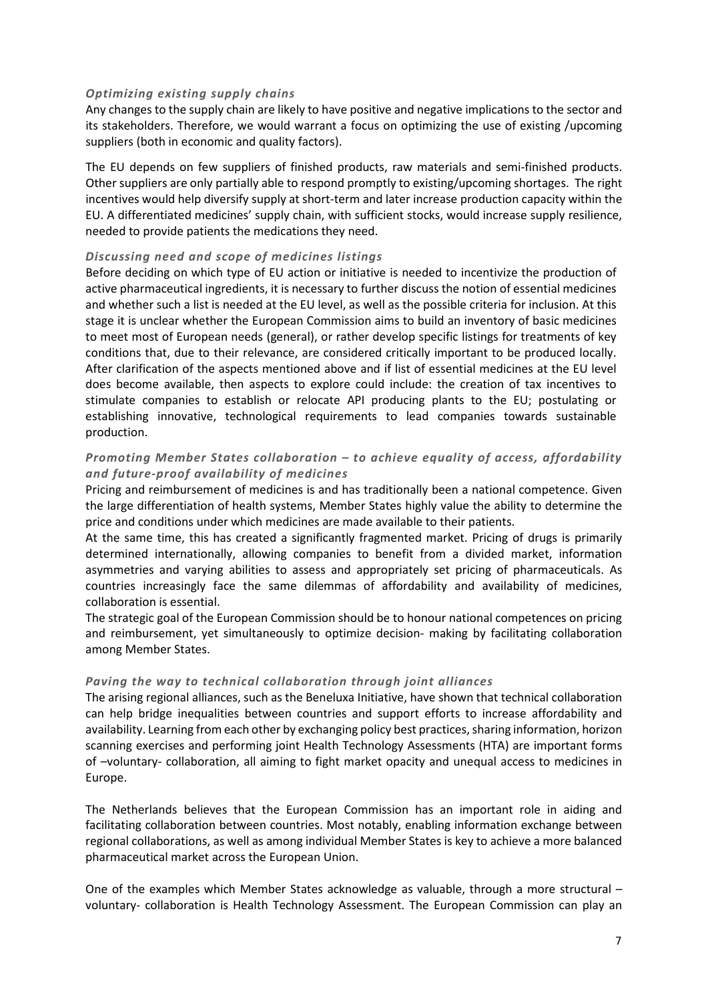#### *Optimizing existing supply chains*

Any changes to the supply chain are likely to have positive and negative implications to the sector and its stakeholders. Therefore, we would warrant a focus on optimizing the use of existing /upcoming suppliers (both in economic and quality factors).

The EU depends on few suppliers of finished products, raw materials and semi-finished products. Other suppliers are only partially able to respond promptly to existing/upcoming shortages. The right incentives would help diversify supply at short-term and later increase production capacity within the EU. A differentiated medicines' supply chain, with sufficient stocks, would increase supply resilience, needed to provide patients the medications they need.

#### *Discussing need and scope of medicines listings*

Before deciding on which type of EU action or initiative is needed to incentivize the production of active pharmaceutical ingredients, it is necessary to further discuss the notion of essential medicines and whether such a list is needed at the EU level, as well as the possible criteria for inclusion. At this stage it is unclear whether the European Commission aims to build an inventory of basic medicines to meet most of European needs (general), or rather develop specific listings for treatments of key conditions that, due to their relevance, are considered critically important to be produced locally. After clarification of the aspects mentioned above and if list of essential medicines at the EU level does become available, then aspects to explore could include: the creation of tax incentives to stimulate companies to establish or relocate API producing plants to the EU; postulating or establishing innovative, technological requirements to lead companies towards sustainable production.

## *Promoting Member States collaboration – to achieve equality of access, affordability and future-proof availability of medicines*

Pricing and reimbursement of medicines is and has traditionally been a national competence. Given the large differentiation of health systems, Member States highly value the ability to determine the price and conditions under which medicines are made available to their patients.

At the same time, this has created a significantly fragmented market. Pricing of drugs is primarily determined internationally, allowing companies to benefit from a divided market, information asymmetries and varying abilities to assess and appropriately set pricing of pharmaceuticals. As countries increasingly face the same dilemmas of affordability and availability of medicines, collaboration is essential.

The strategic goal of the European Commission should be to honour national competences on pricing and reimbursement, yet simultaneously to optimize decision- making by facilitating collaboration among Member States.

## *Paving the way to technical collaboration through joint alliances*

The arising regional alliances, such as the Beneluxa Initiative, have shown that technical collaboration can help bridge inequalities between countries and support efforts to increase affordability and availability. Learning from each other by exchanging policy best practices, sharing information, horizon scanning exercises and performing joint Health Technology Assessments (HTA) are important forms of –voluntary- collaboration, all aiming to fight market opacity and unequal access to medicines in Europe.

The Netherlands believes that the European Commission has an important role in aiding and facilitating collaboration between countries. Most notably, enabling information exchange between regional collaborations, as well as among individual Member States is key to achieve a more balanced pharmaceutical market across the European Union.

One of the examples which Member States acknowledge as valuable, through a more structural – voluntary- collaboration is Health Technology Assessment. The European Commission can play an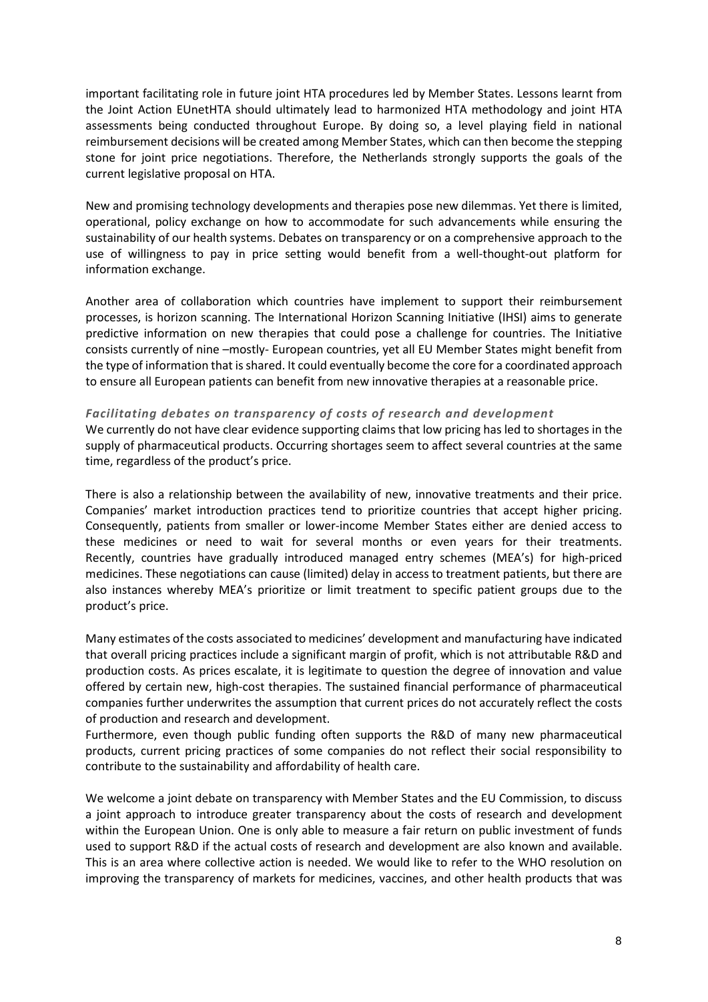important facilitating role in future joint HTA procedures led by Member States. Lessons learnt from the Joint Action EUnetHTA should ultimately lead to harmonized HTA methodology and joint HTA assessments being conducted throughout Europe. By doing so, a level playing field in national reimbursement decisions will be created among Member States, which can then become the stepping stone for joint price negotiations. Therefore, the Netherlands strongly supports the goals of the current legislative proposal on HTA.

New and promising technology developments and therapies pose new dilemmas. Yet there is limited, operational, policy exchange on how to accommodate for such advancements while ensuring the sustainability of our health systems. Debates on transparency or on a comprehensive approach to the use of willingness to pay in price setting would benefit from a well-thought-out platform for information exchange.

Another area of collaboration which countries have implement to support their reimbursement processes, is horizon scanning. The International Horizon Scanning Initiative (IHSI) aims to generate predictive information on new therapies that could pose a challenge for countries. The Initiative consists currently of nine –mostly- European countries, yet all EU Member States might benefit from the type of information that is shared. It could eventually become the core for a coordinated approach to ensure all European patients can benefit from new innovative therapies at a reasonable price.

#### *Facilitating debates on transparency of costs of research and development*

We currently do not have clear evidence supporting claims that low pricing has led to shortages in the supply of pharmaceutical products. Occurring shortages seem to affect several countries at the same time, regardless of the product's price.

There is also a relationship between the availability of new, innovative treatments and their price. Companies' market introduction practices tend to prioritize countries that accept higher pricing. Consequently, patients from smaller or lower-income Member States either are denied access to these medicines or need to wait for several months or even years for their treatments. Recently, countries have gradually introduced managed entry schemes (MEA's) for high-priced medicines. These negotiations can cause (limited) delay in access to treatment patients, but there are also instances whereby MEA's prioritize or limit treatment to specific patient groups due to the product's price.

Many estimates of the costs associated to medicines' development and manufacturing have indicated that overall pricing practices include a significant margin of profit, which is not attributable R&D and production costs. As prices escalate, it is legitimate to question the degree of innovation and value offered by certain new, high-cost therapies. The sustained financial performance of pharmaceutical companies further underwrites the assumption that current prices do not accurately reflect the costs of production and research and development.

Furthermore, even though public funding often supports the R&D of many new pharmaceutical products, current pricing practices of some companies do not reflect their social responsibility to contribute to the sustainability and affordability of health care.

We welcome a joint debate on transparency with Member States and the EU Commission, to discuss a joint approach to introduce greater transparency about the costs of research and development within the European Union. One is only able to measure a fair return on public investment of funds used to support R&D if the actual costs of research and development are also known and available. This is an area where collective action is needed. We would like to refer to the WHO resolution on improving the transparency of markets for medicines, vaccines, and other health products that was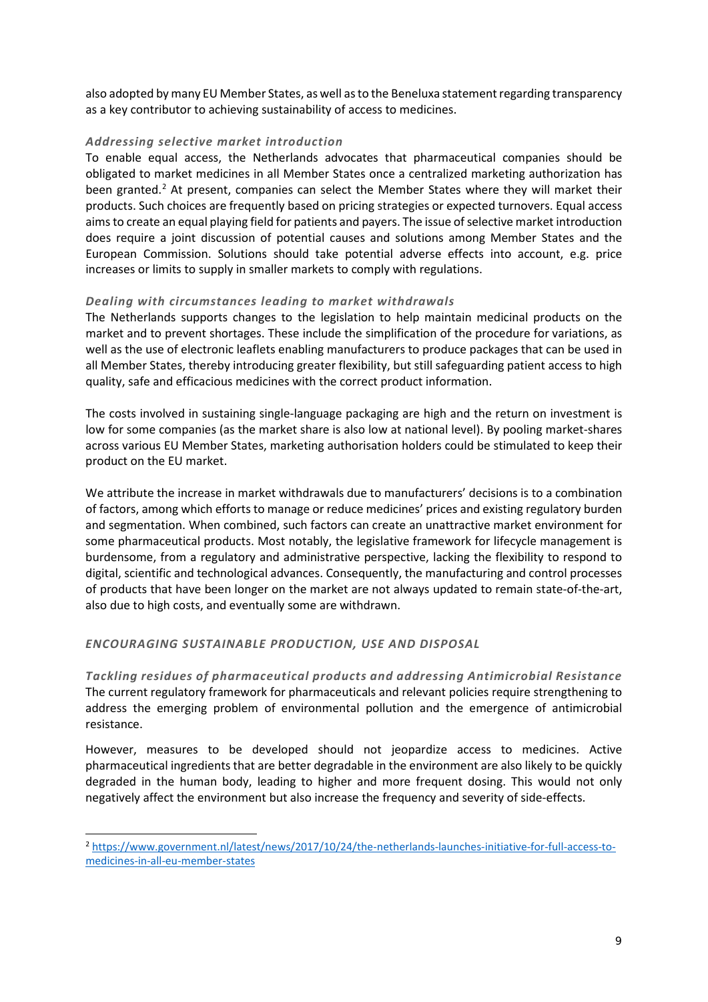also adopted by many EU Member States, as well as to the Beneluxa statement regarding transparency as a key contributor to achieving sustainability of access to medicines.

## *Addressing selective market introduction*

To enable equal access, the Netherlands advocates that pharmaceutical companies should be obligated to market medicines in all Member States once a centralized marketing authorization has been granted.<sup>2</sup> At present, companies can select the Member States where they will market their products. Such choices are frequently based on pricing strategies or expected turnovers. Equal access aims to create an equal playing field for patients and payers. The issue of selective market introduction does require a joint discussion of potential causes and solutions among Member States and the European Commission. Solutions should take potential adverse effects into account, e.g. price increases or limits to supply in smaller markets to comply with regulations.

## *Dealing with circumstances leading to market withdrawals*

The Netherlands supports changes to the legislation to help maintain medicinal products on the market and to prevent shortages. These include the simplification of the procedure for variations, as well as the use of electronic leaflets enabling manufacturers to produce packages that can be used in all Member States, thereby introducing greater flexibility, but still safeguarding patient access to high quality, safe and efficacious medicines with the correct product information.

The costs involved in sustaining single-language packaging are high and the return on investment is low for some companies (as the market share is also low at national level). By pooling market-shares across various EU Member States, marketing authorisation holders could be stimulated to keep their product on the EU market.

We attribute the increase in market withdrawals due to manufacturers' decisions is to a combination of factors, among which efforts to manage or reduce medicines' prices and existing regulatory burden and segmentation. When combined, such factors can create an unattractive market environment for some pharmaceutical products. Most notably, the legislative framework for lifecycle management is burdensome, from a regulatory and administrative perspective, lacking the flexibility to respond to digital, scientific and technological advances. Consequently, the manufacturing and control processes of products that have been longer on the market are not always updated to remain state-of-the-art, also due to high costs, and eventually some are withdrawn.

## *ENCOURAGING SUSTAINABLE PRODUCTION, USE AND DISPOSAL*

-

*Tackling residues of pharmaceutical products and addressing Antimicrobial Resistance* The current regulatory framework for pharmaceuticals and relevant policies require strengthening to address the emerging problem of environmental pollution and the emergence of antimicrobial resistance.

However, measures to be developed should not jeopardize access to medicines. Active pharmaceutical ingredients that are better degradable in the environment are also likely to be quickly degraded in the human body, leading to higher and more frequent dosing. This would not only negatively affect the environment but also increase the frequency and severity of side-effects.

<span id="page-8-0"></span><sup>2</sup> [https://www.government.nl/latest/news/2017/10/24/the-netherlands-launches-initiative-for-full-access-to](https://www.government.nl/latest/news/2017/10/24/the-netherlands-launches-initiative-for-full-access-to-medicines-in-all-eu-member-states)[medicines-in-all-eu-member-states](https://www.government.nl/latest/news/2017/10/24/the-netherlands-launches-initiative-for-full-access-to-medicines-in-all-eu-member-states)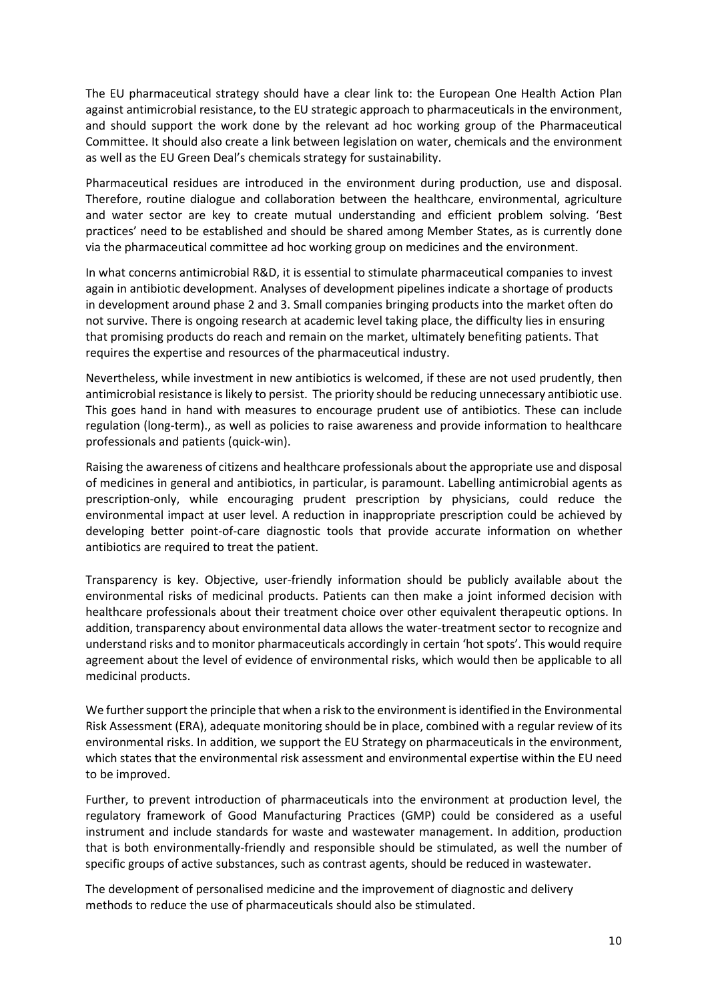The EU pharmaceutical strategy should have a clear link to: the European One Health Action Plan against antimicrobial resistance, to the EU strategic approach to pharmaceuticals in the environment, and should support the work done by the relevant ad hoc working group of the Pharmaceutical Committee. It should also create a link between legislation on water, chemicals and the environment as well as the EU Green Deal's chemicals strategy for sustainability.

Pharmaceutical residues are introduced in the environment during production, use and disposal. Therefore, routine dialogue and collaboration between the healthcare, environmental, agriculture and water sector are key to create mutual understanding and efficient problem solving. 'Best practices' need to be established and should be shared among Member States, as is currently done via the pharmaceutical committee ad hoc working group on medicines and the environment.

In what concerns antimicrobial R&D, it is essential to stimulate pharmaceutical companies to invest again in antibiotic development. Analyses of development pipelines indicate a shortage of products in development around phase 2 and 3. Small companies bringing products into the market often do not survive. There is ongoing research at academic level taking place, the difficulty lies in ensuring that promising products do reach and remain on the market, ultimately benefiting patients. That requires the expertise and resources of the pharmaceutical industry.

Nevertheless, while investment in new antibiotics is welcomed, if these are not used prudently, then antimicrobial resistance is likely to persist. The priority should be reducing unnecessary antibiotic use. This goes hand in hand with measures to encourage prudent use of antibiotics. These can include regulation (long-term)., as well as policies to raise awareness and provide information to healthcare professionals and patients (quick-win).

Raising the awareness of citizens and healthcare professionals about the appropriate use and disposal of medicines in general and antibiotics, in particular, is paramount. Labelling antimicrobial agents as prescription-only, while encouraging prudent prescription by physicians, could reduce the environmental impact at user level. A reduction in inappropriate prescription could be achieved by developing better point-of-care diagnostic tools that provide accurate information on whether antibiotics are required to treat the patient.

Transparency is key. Objective, user-friendly information should be publicly available about the environmental risks of medicinal products. Patients can then make a joint informed decision with healthcare professionals about their treatment choice over other equivalent therapeutic options. In addition, transparency about environmental data allows the water-treatment sector to recognize and understand risks and to monitor pharmaceuticals accordingly in certain 'hot spots'. This would require agreement about the level of evidence of environmental risks, which would then be applicable to all medicinal products.

We further support the principle that when a risk to the environment is identified in the Environmental Risk Assessment (ERA), adequate monitoring should be in place, combined with a regular review of its environmental risks. In addition, we support the EU Strategy on pharmaceuticals in the environment, which states that the environmental risk assessment and environmental expertise within the EU need to be improved.

Further, to prevent introduction of pharmaceuticals into the environment at production level, the regulatory framework of Good Manufacturing Practices (GMP) could be considered as a useful instrument and include standards for waste and wastewater management. In addition, production that is both environmentally-friendly and responsible should be stimulated, as well the number of specific groups of active substances, such as contrast agents, should be reduced in wastewater.

The development of personalised medicine and the improvement of diagnostic and delivery methods to reduce the use of pharmaceuticals should also be stimulated.